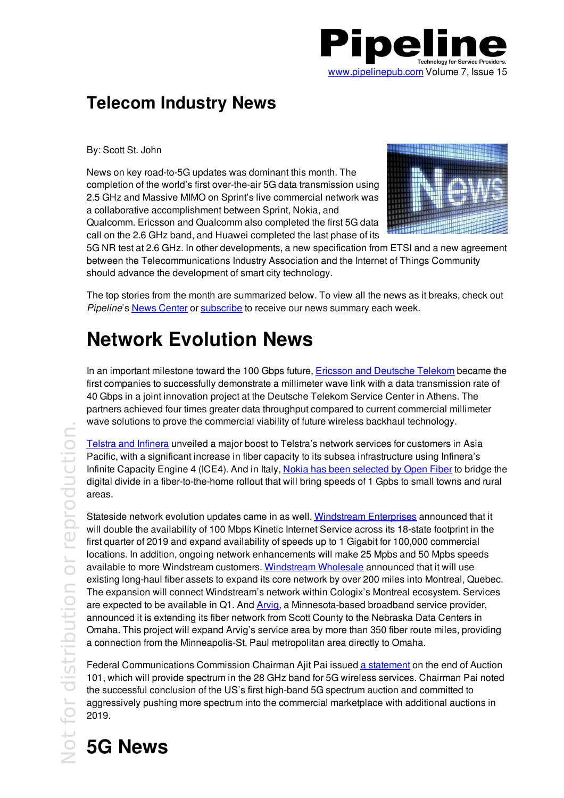

#### **Telecom Industry News**

By: Scott St. John

News on key road-to-5G updates was dominant this month. The completion of the world's first over-the-air 5G data transmission using 2.5 GHz and Massive MIMO on Sprint's live commercial network was a collaborative accomplishment between Sprint, Nokia, and Qualcomm. Ericsson and Qualcomm also completed the first 5G data call on the 2.6 GHz band, and Huawei completed the last phase of its



5G NR test at 2.6 GHz. In other developments, a new specification from ETSI and a new agreement between the Telecommunications Industry Association and the Internet of Things Community should advance the development of smart city technology.

The top stories from the month are summarized below. To view all the news as it breaks, check out *Pipeline*'s News Center or subscribe to receive our news summary each week.

### **Network Evolution News**

In an important milestone toward the 100 Gbps future, **Ericsson and Deutsche Telekom became the** first companies to successfully demonstrate a millimeter wave link with a data transmission rate of 40 Gbps in a joint innovation project at the Deutsche Telekom Service Center in Athens. The partners achieved four times greater data throughput compared to current commercial millimeter wave solutions to prove the commercial viability of future wireless backhaul technology.

Telstra and Infinera unveiled a major boost to Telstra's network services for customers in Asia Pacific, with a significant increase in fiber capacity to its subsea infrastructure using Infinera's Infinite Capacity Engine 4 (ICE4). And in Italy, Nokia has been selected by Open Fiber to bridge the digital divide in a fiber-to-the-home rollout that will bring speeds of 1 Gpbs to small towns and rural areas.

Stateside network evolution updates came in as well. <u>Windstream Enterprises</u> announced that it will double the availability of 100 Mbps Kinetic Internet Service across its 18-state footprint in the first quarter of 2019 and expand availability of speeds up to 1 Gigabit for 100,000 commercial locations. In addition, ongoing network enhancements will make 25 Mpbs and 50 Mpbs speeds available to more Windstream customers. <u>Windstream Wholesale</u> announced that it will use existing long-haul fiber assets to expand its core network by over 200 miles into Montreal, Quebec. The expansion will connect Windstream's network within Cologix's Montreal ecosystem. Services are expected to be available in Q1. And Arvig, a Minnesota-based broadband service provider, announced it is extending its fiber network from Scott County to the Nebraska Data Centers in Omaha. This project will expand Arvig's service area by more than 350 fiber route miles, providing a connection from the Minneapolis-St. Paul metropolitan area directly to Omaha.

Federal Communications Commission Chairman Ajit Pai issued <u>a statement</u> on the end of Auction 101, which will provide spectrum in the 28 GHz band for 5G wireless services. Chairman Pai noted the successful conclusion of the US's first high-band 5G spectrum auction and committed to aggressively pushing more spectrum into the commercial marketplace with additional auctions in 2019.

# $\geq$  5G News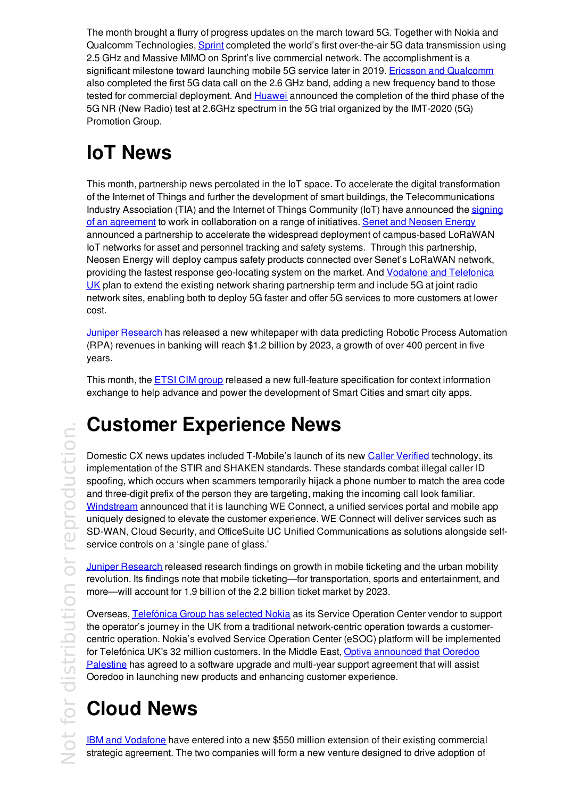The month brought a flurry of progress updates on the march toward 5G. Together with Nokia and Qualcomm Technologies, **Sprint** completed the world's first over-the-air 5G data transmission using 2.5 GHz and Massive MIMO on Sprint's live commercial network. The accomplishment is a significant milestone toward launching mobile 5G service later in 2019. **Ericsson and Qualcomm** also completed the first 5G data call on the 2.6 GHz band, adding a new frequency band to those tested for commercial deployment. And Huawei announced the completion of the third phase of the 5G NR (New Radio) test at 2.6GHz spectrum in the 5G trial organized by the IMT-2020 (5G) Promotion Group.

## **IoT News**

This month, partnership news percolated in the IoT space. To accelerate the digital transformation of the Internet of Things and further the development of smart buildings, the Telecommunications Industry Association (TIA) and the Internet of Things Community (IoT) have announced the signing of an agreement to work in collaboration on a range of initiatives. Senet and Neosen Energy announced a partnership to accelerate the widespread deployment of campus-based LoRaWAN IoT networks for asset and personnel tracking and safety systems. Through this partnership, Neosen Energy will deploy campus safety products connected over Senet's LoRaWAN network, providing the fastest response geo-locating system on the market. And Vodafone and Telefonica UK plan to extend the existing network sharing partnership term and include 5G at joint radio network sites, enabling both to deploy 5G faster and offer 5G services to more customers at lower cost.

**Juniper Research has released a new whitepaper with data predicting Robotic Process Automation** (RPA) revenues in banking will reach \$1.2 billion by 2023, a growth of over 400 percent in five years.

This month, the ETSI CIM group released a new full-feature specification for context information exchange to help advance and power the development of Smart Cities and smart city apps.

#### o $\overline{\phantom{a}}$  $\overline{\mathbb{P}}$ dis  $\overline{\phantom{a}}$  $\frac{1}{\sqrt{2}}$  ce  $\frac{1}{\sqrt{2}}$  o o $\overline{\mathbb{C}}$  $\bigcirc$ ro $\overline{\bigcirc}$  $\cup$  $\frac{1}{\sqrt{1}}$  D n.

## **Customer Experience News**

Domestic CX news updates included T-Mobile's launch of its new Caller Verified technology, its implementation of the STIR and SHAKEN standards. These standards combat illegal caller ID spoofing, which occurs when scammers temporarily hijack a phone number to match the area code and three-digit prefix of the person they are targeting, making the incoming call look familiar. Windstream announced that it is launching WE Connect, a unified services portal and mobile app uniquely designed to elevate the customer experience. WE Connect will deliver services such as SD-WAN, Cloud Security, and OfficeSuite UC Unified Communications as solutions alongside self service controls on a 'single pane of glass.'

Juniper Research released research findings on growth in mobile ticketing and the urban mobility revolution. Its findings note that mobile ticketing—for transportation, sports and entertainment, and more—will account for 1.9 billion of the 2.2 billion ticket market by 2023.

Overseas, Telefónica Group has selected Nokia as its Service Operation Center vendor to support the operator's journey in the UK from a traditional network-centric operation towards a customercentric operation. Nokia's evolved Service Operation Center (eSOC) platform will be implemented for Telefónica UK's 32 million customers. In the Middle East, Optiva announced that Ooredoo Palestine has agreed to a software upgrade and multi-year support agreement that will assist Ooredoo in launching new products and enhancing customer experience.

## **Cloud News**

**IBM and Vodafone** have entered into a new \$550 million extension of their existing commercial strategic agreement. The two companies will form a new venture designed to drive adoption of